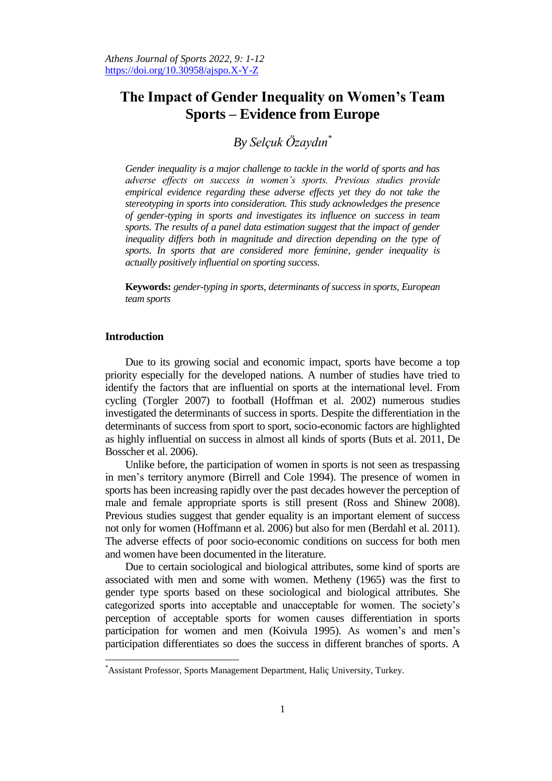# **The Impact of Gender Inequality on Women's Team Sports – Evidence from Europe**

*By Selçuk Özaydın\**

*Gender inequality is a major challenge to tackle in the world of sports and has adverse effects on success in women's sports. Previous studies provide empirical evidence regarding these adverse effects yet they do not take the stereotyping in sports into consideration. This study acknowledges the presence of gender-typing in sports and investigates its influence on success in team*  sports. The results of a panel data estimation suggest that the impact of gender *inequality differs both in magnitude and direction depending on the type of sports. In sports that are considered more feminine, gender inequality is actually positively influential on sporting success.*

**Keywords:** *gender-typing in sports, determinants of success in sports, European team sports*

# **Introduction**

 $\overline{a}$ 

Due to its growing social and economic impact, sports have become a top priority especially for the developed nations. A number of studies have tried to identify the factors that are influential on sports at the international level. From cycling (Torgler 2007) to football (Hoffman et al. 2002) numerous studies investigated the determinants of success in sports. Despite the differentiation in the determinants of success from sport to sport, socio-economic factors are highlighted as highly influential on success in almost all kinds of sports (Buts et al. 2011, De Bosscher et al. 2006).

Unlike before, the participation of women in sports is not seen as trespassing in men's territory anymore (Birrell and Cole 1994). The presence of women in sports has been increasing rapidly over the past decades however the perception of male and female appropriate sports is still present (Ross and Shinew 2008). Previous studies suggest that gender equality is an important element of success not only for women (Hoffmann et al. 2006) but also for men (Berdahl et al. 2011). The adverse effects of poor socio-economic conditions on success for both men and women have been documented in the literature.

Due to certain sociological and biological attributes, some kind of sports are associated with men and some with women. Metheny (1965) was the first to gender type sports based on these sociological and biological attributes. She categorized sports into acceptable and unacceptable for women. The society's perception of acceptable sports for women causes differentiation in sports participation for women and men (Koivula 1995). As women's and men's participation differentiates so does the success in different branches of sports. A

<sup>\*</sup>Assistant Professor, Sports Management Department, Haliç University, Turkey.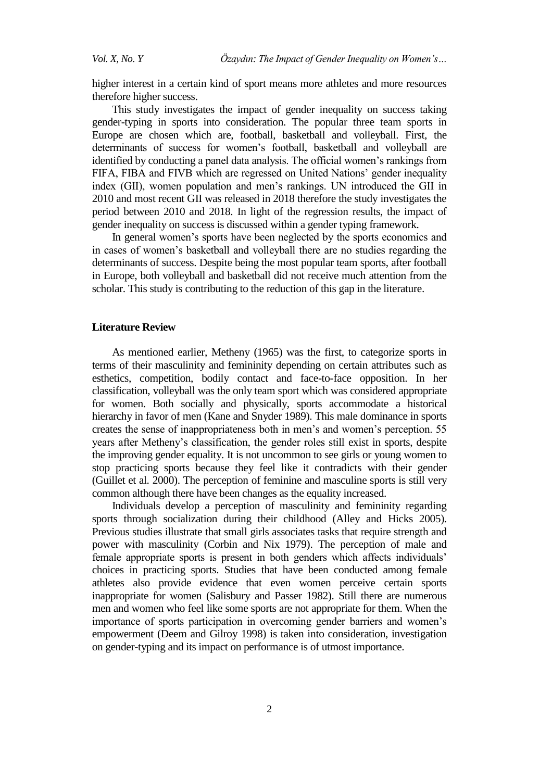higher interest in a certain kind of sport means more athletes and more resources therefore higher success.

This study investigates the impact of gender inequality on success taking gender-typing in sports into consideration. The popular three team sports in Europe are chosen which are, football, basketball and volleyball. First, the determinants of success for women's football, basketball and volleyball are identified by conducting a panel data analysis. The official women's rankings from FIFA, FIBA and FIVB which are regressed on United Nations' gender inequality index (GII), women population and men's rankings. UN introduced the GII in 2010 and most recent GII was released in 2018 therefore the study investigates the period between 2010 and 2018. In light of the regression results, the impact of gender inequality on success is discussed within a gender typing framework.

In general women's sports have been neglected by the sports economics and in cases of women's basketball and volleyball there are no studies regarding the determinants of success. Despite being the most popular team sports, after football in Europe, both volleyball and basketball did not receive much attention from the scholar. This study is contributing to the reduction of this gap in the literature.

#### **Literature Review**

As mentioned earlier, Metheny (1965) was the first, to categorize sports in terms of their masculinity and femininity depending on certain attributes such as esthetics, competition, bodily contact and face-to-face opposition. In her classification, volleyball was the only team sport which was considered appropriate for women. Both socially and physically, sports accommodate a historical hierarchy in favor of men (Kane and Snyder 1989). This male dominance in sports creates the sense of inappropriateness both in men's and women's perception. 55 years after Metheny's classification, the gender roles still exist in sports, despite the improving gender equality. It is not uncommon to see girls or young women to stop practicing sports because they feel like it contradicts with their gender (Guillet et al. 2000). The perception of feminine and masculine sports is still very common although there have been changes as the equality increased.

Individuals develop a perception of masculinity and femininity regarding sports through socialization during their childhood (Alley and Hicks 2005). Previous studies illustrate that small girls associates tasks that require strength and power with masculinity (Corbin and Nix 1979). The perception of male and female appropriate sports is present in both genders which affects individuals' choices in practicing sports. Studies that have been conducted among female athletes also provide evidence that even women perceive certain sports inappropriate for women (Salisbury and Passer 1982). Still there are numerous men and women who feel like some sports are not appropriate for them. When the importance of sports participation in overcoming gender barriers and women's empowerment (Deem and Gilroy 1998) is taken into consideration, investigation on gender-typing and its impact on performance is of utmost importance.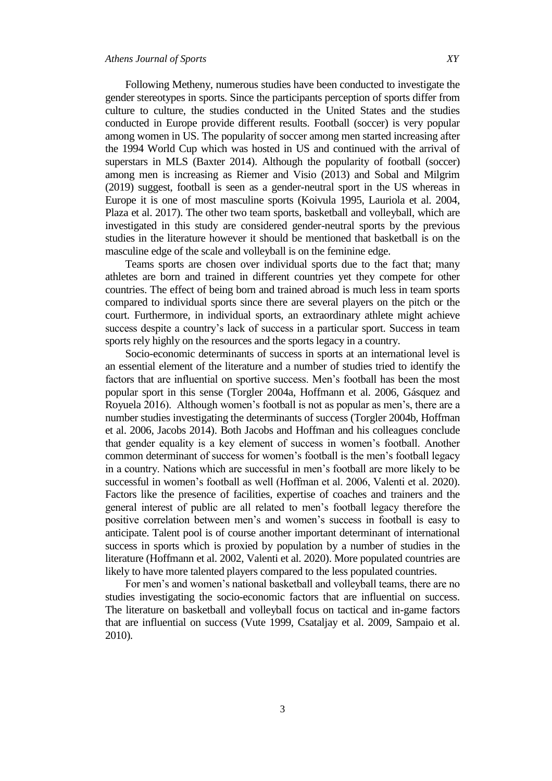Following Metheny, numerous studies have been conducted to investigate the gender stereotypes in sports. Since the participants perception of sports differ from culture to culture, the studies conducted in the United States and the studies conducted in Europe provide different results. Football (soccer) is very popular among women in US. The popularity of soccer among men started increasing after the 1994 World Cup which was hosted in US and continued with the arrival of superstars in MLS (Baxter 2014). Although the popularity of football (soccer) among men is increasing as Riemer and Visio (2013) and Sobal and Milgrim (2019) suggest, football is seen as a gender-neutral sport in the US whereas in Europe it is one of most masculine sports (Koivula 1995, Lauriola et al. 2004, Plaza et al. 2017). The other two team sports, basketball and volleyball, which are investigated in this study are considered gender-neutral sports by the previous studies in the literature however it should be mentioned that basketball is on the masculine edge of the scale and volleyball is on the feminine edge.

Teams sports are chosen over individual sports due to the fact that; many athletes are born and trained in different countries yet they compete for other countries. The effect of being born and trained abroad is much less in team sports compared to individual sports since there are several players on the pitch or the court. Furthermore, in individual sports, an extraordinary athlete might achieve success despite a country's lack of success in a particular sport. Success in team sports rely highly on the resources and the sports legacy in a country.

Socio-economic determinants of success in sports at an international level is an essential element of the literature and a number of studies tried to identify the factors that are influential on sportive success. Men's football has been the most popular sport in this sense (Torgler 2004a, Hoffmann et al. 2006, Gásquez and Royuela 2016). Although women's football is not as popular as men's, there are a number studies investigating the determinants of success (Torgler 2004b, Hoffman et al. 2006, Jacobs 2014). Both Jacobs and Hoffman and his colleagues conclude that gender equality is a key element of success in women's football. Another common determinant of success for women's football is the men's football legacy in a country. Nations which are successful in men's football are more likely to be successful in women's football as well (Hoffman et al. 2006, Valenti et al. 2020). Factors like the presence of facilities, expertise of coaches and trainers and the general interest of public are all related to men's football legacy therefore the positive correlation between men's and women's success in football is easy to anticipate. Talent pool is of course another important determinant of international success in sports which is proxied by population by a number of studies in the literature (Hoffmann et al. 2002, Valenti et al. 2020). More populated countries are likely to have more talented players compared to the less populated countries.

For men's and women's national basketball and volleyball teams, there are no studies investigating the socio-economic factors that are influential on success. The literature on basketball and volleyball focus on tactical and in-game factors that are influential on success (Vute 1999, Csataljay et al. 2009, Sampaio et al. 2010).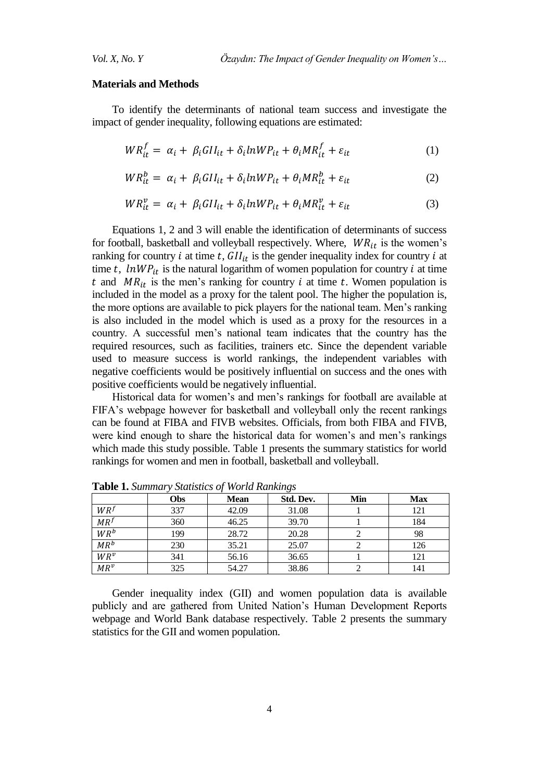#### **Materials and Methods**

To identify the determinants of national team success and investigate the impact of gender inequality, following equations are estimated:

$$
WR_{it}^{f} = \alpha_i + \beta_i GII_{it} + \delta_i lnWP_{it} + \theta_i MR_{it}^{f} + \varepsilon_{it}
$$
\n(1)

$$
WR_{it}^{b} = \alpha_{i} + \beta_{i} GII_{it} + \delta_{i} lnWP_{it} + \theta_{i} MR_{it}^{b} + \varepsilon_{it}
$$
 (2)

$$
WR_{it}^{\nu} = \alpha_i + \beta_i G II_{it} + \delta_i lnWP_{it} + \theta_i MR_{it}^{\nu} + \varepsilon_{it}
$$
\n(3)

Equations 1, 2 and 3 will enable the identification of determinants of success for football, basketball and volleyball respectively. Where,  $WR_{it}$  is the women's ranking for country i at time t,  $GI_{it}$  is the gender inequality index for country i at time t,  $lnWP_{it}$  is the natural logarithm of women population for country i at time t and  $MR_{it}$  is the men's ranking for country i at time t. Women population is included in the model as a proxy for the talent pool. The higher the population is, the more options are available to pick players for the national team. Men's ranking is also included in the model which is used as a proxy for the resources in a country. A successful men's national team indicates that the country has the required resources, such as facilities, trainers etc. Since the dependent variable used to measure success is world rankings, the independent variables with negative coefficients would be positively influential on success and the ones with positive coefficients would be negatively influential.

Historical data for women's and men's rankings for football are available at FIFA's webpage however for basketball and volleyball only the recent rankings can be found at FIBA and FIVB websites. Officials, from both FIBA and FIVB, were kind enough to share the historical data for women's and men's rankings which made this study possible. Table 1 presents the summary statistics for world rankings for women and men in football, basketball and volleyball.

|                 | Obs | <b>Mean</b> | Std. Dev. | Min | <b>Max</b> |
|-----------------|-----|-------------|-----------|-----|------------|
| $WR^{f}$        | 337 | 42.09       | 31.08     |     | 121        |
| MR <sup>f</sup> | 360 | 46.25       | 39.70     |     | 184        |
| $WR^b$          | 199 | 28.72       | 20.28     |     | 98         |
| $MR^b$          | 230 | 35.21       | 25.07     |     | 126        |
| $WR^v$          | 341 | 56.16       | 36.65     |     | 121        |
| $MR^v$          | 325 | 54.27       | 38.86     |     | 141        |

**Table 1.** *Summary Statistics of World Rankings*

Gender inequality index (GII) and women population data is available publicly and are gathered from United Nation's Human Development Reports webpage and World Bank database respectively. Table 2 presents the summary statistics for the GII and women population.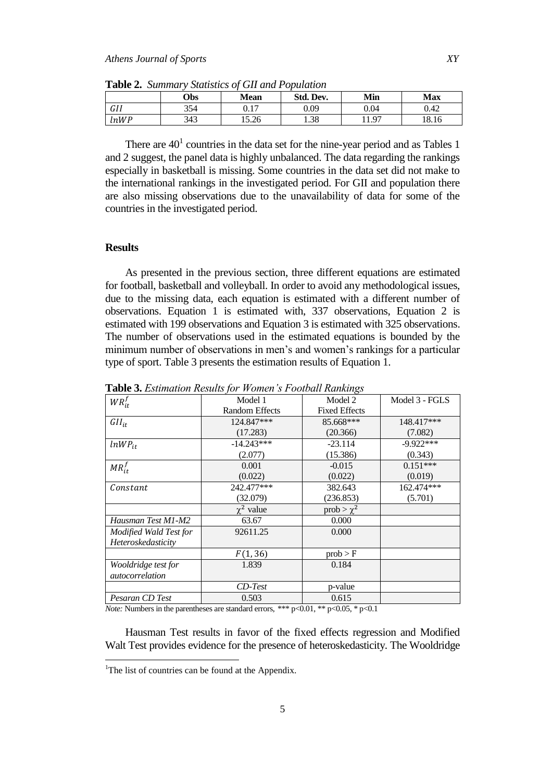| <b>Tuble 4.</b> Drilling plansites of <b>OII</b> and I opmanon |            |          |           |      |       |
|----------------------------------------------------------------|------------|----------|-----------|------|-------|
|                                                                | <b>Obs</b> | Mean     | Std. Dev. | Min  | Max   |
| GII                                                            | 354        | $0.17\,$ | 0.09      | 0.04 | 0.42  |
| <i>lnWP</i>                                                    | 343        | 15.26    | 1.38      | 1.97 | 18.16 |

**Table 2.** *Summary Statistics of GII and Population*

There are  $40<sup>1</sup>$  countries in the data set for the nine-year period and as Tables 1 and 2 suggest, the panel data is highly unbalanced. The data regarding the rankings especially in basketball is missing. Some countries in the data set did not make to the international rankings in the investigated period. For GII and population there are also missing observations due to the unavailability of data for some of the countries in the investigated period.

### **Results**

As presented in the previous section, three different equations are estimated for football, basketball and volleyball. In order to avoid any methodological issues, due to the missing data, each equation is estimated with a different number of observations. Equation 1 is estimated with, 337 observations, Equation 2 is estimated with 199 observations and Equation 3 is estimated with 325 observations. The number of observations used in the estimated equations is bounded by the minimum number of observations in men's and women's rankings for a particular type of sport. Table 3 presents the estimation results of Equation 1.

| $WR_{it}^f$            | Model 1               | Model 2              | Model 3 - FGLS |
|------------------------|-----------------------|----------------------|----------------|
|                        | <b>Random Effects</b> | <b>Fixed Effects</b> |                |
| $GII_{it}$             | 124.847***            | 85.668***            | 148.417***     |
|                        | (17.283)              | (20.366)             | (7.082)        |
| $lnWP_{it}$            | $-14.243***$          | $-23.114$            | $-9.922***$    |
|                        | (2.077)               | (15.386)             | (0.343)        |
| $MR_{it}^f$            | 0.001                 | $-0.015$             | $0.151***$     |
|                        | (0.022)               | (0.022)              | (0.019)        |
| Constant               | 242.477***            | 382.643              | 162.474***     |
|                        | (32.079)              | (236.853)            | (5.701)        |
|                        | $\chi^2$ value        | prob $> \chi^2$      |                |
| Hausman Test M1-M2     | 63.67                 | 0.000                |                |
| Modified Wald Test for | 92611.25              | 0.000                |                |
| Heteroskedasticity     |                       |                      |                |
|                        | F(1, 36)              | prob > F             |                |
| Wooldridge test for    | 1.839                 | 0.184                |                |
| autocorrelation        |                       |                      |                |
|                        | $CD$ -Test            | p-value              |                |
| Pesaran CD Test        | 0.503                 | 0.615                |                |

**Table 3.** *Estimation Results for Women's Football Rankings*

*Note:* Numbers in the parentheses are standard errors, \*\*\*  $p<0.01$ , \*\*  $p<0.05$ , \*  $p<0.1$ 

Hausman Test results in favor of the fixed effects regression and Modified Walt Test provides evidence for the presence of heteroskedasticity. The Wooldridge

 $\overline{a}$ 

<sup>&</sup>lt;sup>1</sup>The list of countries can be found at the Appendix.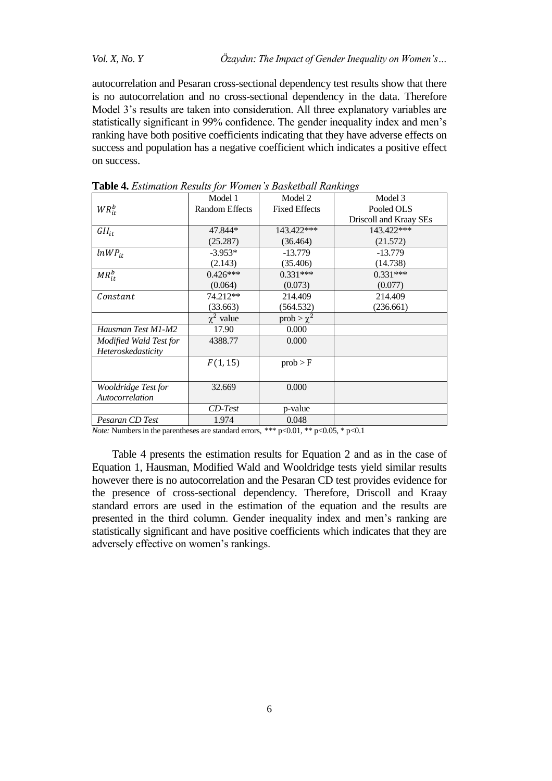*Vol. X, No. Y Özaydın: The Impact of Gender Inequality on Women's…*

autocorrelation and Pesaran cross-sectional dependency test results show that there is no autocorrelation and no cross-sectional dependency in the data. Therefore Model 3's results are taken into consideration. All three explanatory variables are statistically significant in 99% confidence. The gender inequality index and men's ranking have both positive coefficients indicating that they have adverse effects on success and population has a negative coefficient which indicates a positive effect on success.

| <b>Table + <i>Estimation Results</i></b> for <i>H</i> onich <i>s</i> Dashciouli Rammigs |                       |                      |                        |
|-----------------------------------------------------------------------------------------|-----------------------|----------------------|------------------------|
|                                                                                         | Model 1               | Model 2              | Model 3                |
| $WR_{it}^b$                                                                             | <b>Random Effects</b> | <b>Fixed Effects</b> | Pooled OLS             |
|                                                                                         |                       |                      | Driscoll and Kraay SEs |
| $GII_{it}$                                                                              | 47.844*               | 143.422***           | 143.422***             |
|                                                                                         | (25.287)              | (36.464)             | (21.572)               |
| $lnWP_{it}$                                                                             | $-3.953*$             | $-13.779$            | $-13.779$              |
|                                                                                         | (2.143)               | (35.406)             | (14.738)               |
| $MR_{it}^b$                                                                             | $0.426***$            | $0.331***$           | $0.331***$             |
|                                                                                         | (0.064)               | (0.073)              | (0.077)                |
| Constant                                                                                | 74.212**              | 214.409              | 214.409                |
|                                                                                         | (33.663)              | (564.532)            | (236.661)              |
|                                                                                         | $\chi^2$ value        | prob $> \chi^2$      |                        |
| Hausman Test M1-M2                                                                      | 17.90                 | 0.000                |                        |
| Modified Wald Test for                                                                  | 4388.77               | 0.000                |                        |
| Heteroskedasticity                                                                      |                       |                      |                        |
|                                                                                         | F(1, 15)              | prob > F             |                        |
|                                                                                         |                       |                      |                        |
| Wooldridge Test for                                                                     | 32.669                | 0.000                |                        |
| Autocorrelation                                                                         |                       |                      |                        |
|                                                                                         | $CD-Test$             | p-value              |                        |
| Pesaran CD Test                                                                         | 1.974                 | 0.048                |                        |
|                                                                                         |                       |                      |                        |

**Table 4.** *Estimation Results for Women's Basketball Rankings*

*Note:* Numbers in the parentheses are standard errors, \*\*\* p<0.01, \*\* p<0.05, \* p<0.1

Table 4 presents the estimation results for Equation 2 and as in the case of Equation 1, Hausman, Modified Wald and Wooldridge tests yield similar results however there is no autocorrelation and the Pesaran CD test provides evidence for the presence of cross-sectional dependency. Therefore, Driscoll and Kraay standard errors are used in the estimation of the equation and the results are presented in the third column. Gender inequality index and men's ranking are statistically significant and have positive coefficients which indicates that they are adversely effective on women's rankings.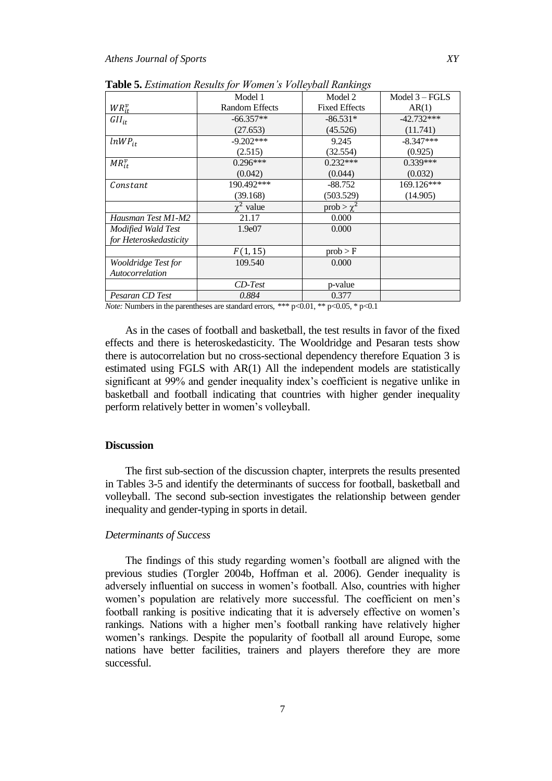|                        | Model 1               | Model 2              | Model $3 - FGLS$ |
|------------------------|-----------------------|----------------------|------------------|
| $WR_{it}^v$            | <b>Random Effects</b> | <b>Fixed Effects</b> | AR(1)            |
| $GII_{it}$             | $-66.357**$           | $-86.531*$           | $-42.732***$     |
|                        | (27.653)              | (45.526)             | (11.741)         |
| $lnWP_{it}$            | $-9.202***$           | 9.245                | $-8.347***$      |
|                        | (2.515)               | (32.554)             | (0.925)          |
| $MR_{it}^v$            | $0.296***$            | $0.232***$           | $0.339***$       |
|                        | (0.042)               | (0.044)              | (0.032)          |
| Constant               | 190.492***            | $-88.752$            | 169.126***       |
|                        | (39.168)              | (503.529)            | (14.905)         |
|                        | $\chi^2$ value        | prob $> \chi^2$      |                  |
| Hausman Test M1-M2     | 21.17                 | 0.000                |                  |
| Modified Wald Test     | 1.9e07                | 0.000                |                  |
| for Heteroskedasticity |                       |                      |                  |
|                        | F(1, 15)              | prob > F             |                  |
| Wooldridge Test for    | 109.540               | 0.000                |                  |
| Autocorrelation        |                       |                      |                  |
|                        | $CD-Test$             | p-value              |                  |
| Pesaran CD Test        | 0.884                 | 0.377                |                  |

**Table 5.** *Estimation Results for Women's Volleyball Rankings*

*Note:* Numbers in the parentheses are standard errors, \*\*\*  $p<0.01$ , \*\*  $p<0.05$ , \*  $p<0.1$ 

As in the cases of football and basketball, the test results in favor of the fixed effects and there is heteroskedasticity. The Wooldridge and Pesaran tests show there is autocorrelation but no cross-sectional dependency therefore Equation 3 is estimated using FGLS with AR(1) All the independent models are statistically significant at 99% and gender inequality index's coefficient is negative unlike in basketball and football indicating that countries with higher gender inequality perform relatively better in women's volleyball.

# **Discussion**

The first sub-section of the discussion chapter, interprets the results presented in Tables 3-5 and identify the determinants of success for football, basketball and volleyball. The second sub-section investigates the relationship between gender inequality and gender-typing in sports in detail.

# *Determinants of Success*

The findings of this study regarding women's football are aligned with the previous studies (Torgler 2004b, Hoffman et al. 2006). Gender inequality is adversely influential on success in women's football. Also, countries with higher women's population are relatively more successful. The coefficient on men's football ranking is positive indicating that it is adversely effective on women's rankings. Nations with a higher men's football ranking have relatively higher women's rankings. Despite the popularity of football all around Europe, some nations have better facilities, trainers and players therefore they are more successful.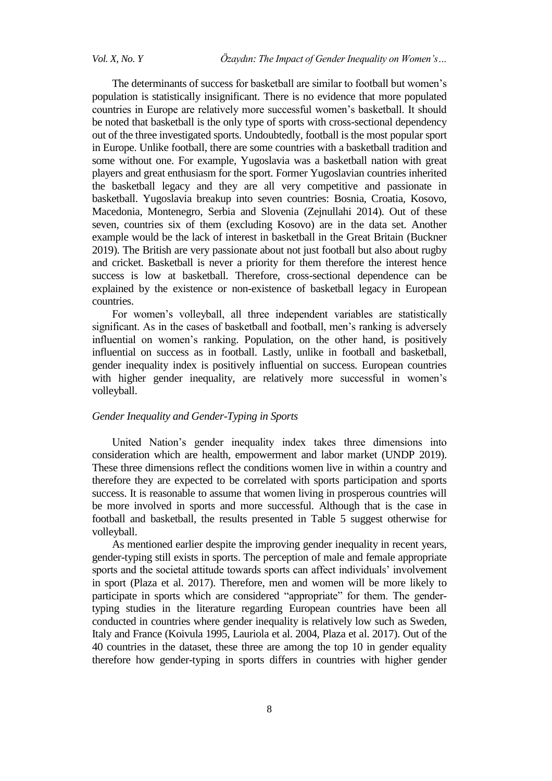The determinants of success for basketball are similar to football but women's population is statistically insignificant. There is no evidence that more populated countries in Europe are relatively more successful women's basketball. It should be noted that basketball is the only type of sports with cross-sectional dependency out of the three investigated sports. Undoubtedly, football is the most popular sport in Europe. Unlike football, there are some countries with a basketball tradition and some without one. For example, Yugoslavia was a basketball nation with great players and great enthusiasm for the sport. Former Yugoslavian countries inherited the basketball legacy and they are all very competitive and passionate in basketball. Yugoslavia breakup into seven countries: Bosnia, Croatia, Kosovo, Macedonia, Montenegro, Serbia and Slovenia (Zejnullahi 2014). Out of these seven, countries six of them (excluding Kosovo) are in the data set. Another example would be the lack of interest in basketball in the Great Britain (Buckner 2019). The British are very passionate about not just football but also about rugby and cricket. Basketball is never a priority for them therefore the interest hence success is low at basketball. Therefore, cross-sectional dependence can be explained by the existence or non-existence of basketball legacy in European countries.

For women's volleyball, all three independent variables are statistically significant. As in the cases of basketball and football, men's ranking is adversely influential on women's ranking. Population, on the other hand, is positively influential on success as in football. Lastly, unlike in football and basketball, gender inequality index is positively influential on success. European countries with higher gender inequality, are relatively more successful in women's volleyball.

## *Gender Inequality and Gender-Typing in Sports*

United Nation's gender inequality index takes three dimensions into consideration which are health, empowerment and labor market (UNDP 2019). These three dimensions reflect the conditions women live in within a country and therefore they are expected to be correlated with sports participation and sports success. It is reasonable to assume that women living in prosperous countries will be more involved in sports and more successful. Although that is the case in football and basketball, the results presented in Table 5 suggest otherwise for volleyball.

As mentioned earlier despite the improving gender inequality in recent years, gender-typing still exists in sports. The perception of male and female appropriate sports and the societal attitude towards sports can affect individuals' involvement in sport (Plaza et al. 2017). Therefore, men and women will be more likely to participate in sports which are considered "appropriate" for them. The gendertyping studies in the literature regarding European countries have been all conducted in countries where gender inequality is relatively low such as Sweden, Italy and France (Koivula 1995, Lauriola et al. 2004, Plaza et al. 2017). Out of the 40 countries in the dataset, these three are among the top 10 in gender equality therefore how gender-typing in sports differs in countries with higher gender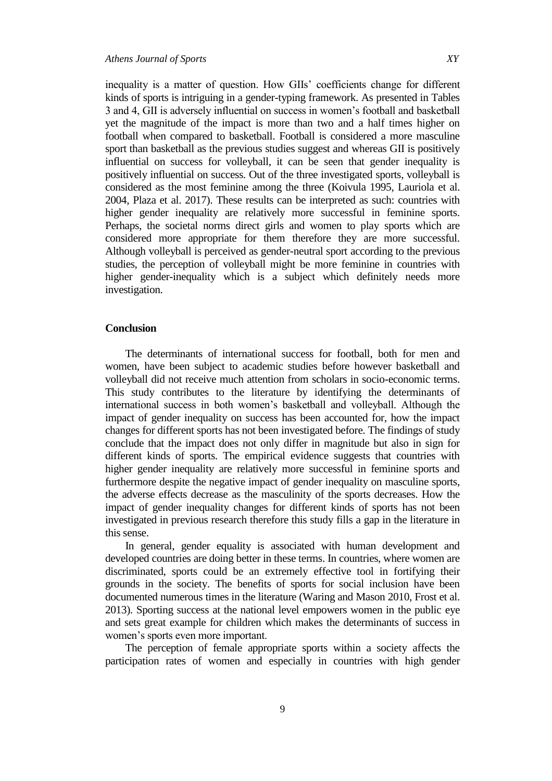inequality is a matter of question. How GIIs' coefficients change for different kinds of sports is intriguing in a gender-typing framework. As presented in Tables 3 and 4, GII is adversely influential on success in women's football and basketball yet the magnitude of the impact is more than two and a half times higher on football when compared to basketball. Football is considered a more masculine sport than basketball as the previous studies suggest and whereas GII is positively influential on success for volleyball, it can be seen that gender inequality is positively influential on success. Out of the three investigated sports, volleyball is considered as the most feminine among the three (Koivula 1995, Lauriola et al. 2004, Plaza et al. 2017). These results can be interpreted as such: countries with higher gender inequality are relatively more successful in feminine sports. Perhaps, the societal norms direct girls and women to play sports which are considered more appropriate for them therefore they are more successful. Although volleyball is perceived as gender-neutral sport according to the previous studies, the perception of volleyball might be more feminine in countries with higher gender-inequality which is a subject which definitely needs more investigation.

#### **Conclusion**

The determinants of international success for football, both for men and women, have been subject to academic studies before however basketball and volleyball did not receive much attention from scholars in socio-economic terms. This study contributes to the literature by identifying the determinants of international success in both women's basketball and volleyball. Although the impact of gender inequality on success has been accounted for, how the impact changes for different sports has not been investigated before. The findings of study conclude that the impact does not only differ in magnitude but also in sign for different kinds of sports. The empirical evidence suggests that countries with higher gender inequality are relatively more successful in feminine sports and furthermore despite the negative impact of gender inequality on masculine sports, the adverse effects decrease as the masculinity of the sports decreases. How the impact of gender inequality changes for different kinds of sports has not been investigated in previous research therefore this study fills a gap in the literature in this sense.

In general, gender equality is associated with human development and developed countries are doing better in these terms. In countries, where women are discriminated, sports could be an extremely effective tool in fortifying their grounds in the society. The benefits of sports for social inclusion have been documented numerous times in the literature (Waring and Mason 2010, Frost et al. 2013). Sporting success at the national level empowers women in the public eye and sets great example for children which makes the determinants of success in women's sports even more important.

The perception of female appropriate sports within a society affects the participation rates of women and especially in countries with high gender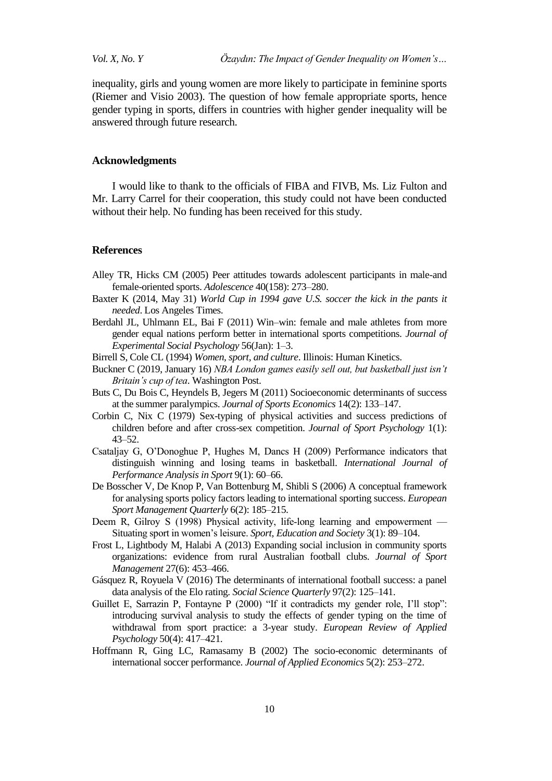inequality, girls and young women are more likely to participate in feminine sports (Riemer and Visio 2003). The question of how female appropriate sports, hence gender typing in sports, differs in countries with higher gender inequality will be answered through future research.

#### **Acknowledgments**

I would like to thank to the officials of FIBA and FIVB, Ms. Liz Fulton and Mr. Larry Carrel for their cooperation, this study could not have been conducted without their help. No funding has been received for this study.

### **References**

- Alley TR, Hicks CM (2005) Peer attitudes towards adolescent participants in male-and female-oriented sports. *Adolescence* 40(158): 273*–*280.
- Baxter K (2014, May 31) *World Cup in 1994 gave U.S. soccer the kick in the pants it needed*. Los Angeles Times.
- Berdahl JL, Uhlmann EL, Bai F (2011) Win–win: female and male athletes from more gender equal nations perform better in international sports competitions. *Journal of Experimental Social Psychology* 56(Jan): 1–3.
- Birrell S, Cole CL (1994) *Women, sport, and culture*. Illinois: Human Kinetics.
- Buckner C (2019, January 16) *NBA London games easily sell out, but basketball just isn't Britain's cup of tea*. Washington Post.
- Buts C, Du Bois C, Heyndels B, Jegers M (2011) Socioeconomic determinants of success at the summer paralympics. *Journal of Sports Economics* 14(2): 133–147.
- Corbin C, Nix C (1979) Sex-typing of physical activities and success predictions of children before and after cross-sex competition. *Journal of Sport Psychology* 1(1): 43*–*52.
- Csataljay G, O'Donoghue P, Hughes M, Dancs H (2009) Performance indicators that distinguish winning and losing teams in basketball. *International Journal of Performance Analysis in Sport* 9(1): 60–66.
- De Bosscher V, De Knop P, Van Bottenburg M, Shibli S (2006) A conceptual framework for analysing sports policy factors leading to international sporting success. *European Sport Management Quarterly* 6(2): 185–215.
- Deem R, Gilroy S (1998) Physical activity, life-long learning and empowerment Situating sport in women's leisure. *Sport, Education and Society* 3(1): 89–104.
- Frost L, Lightbody M, Halabi A (2013) Expanding social inclusion in community sports organizations: evidence from rural Australian football clubs. *Journal of Sport Management* 27(6): 453–466.
- Gásquez R, Royuela V (2016) The determinants of international football success: a panel data analysis of the Elo rating. *Social Science Quarterly* 97(2): 125–141.
- Guillet E, Sarrazin P, Fontayne P (2000) "If it contradicts my gender role, I'll stop": introducing survival analysis to study the effects of gender typing on the time of withdrawal from sport practice: a 3-year study. *European Review of Applied Psychology* 50(4): 417–421.
- Hoffmann R, Ging LC, Ramasamy B (2002) The socio-economic determinants of international soccer performance. *Journal of Applied Economics* 5(2): 253–272.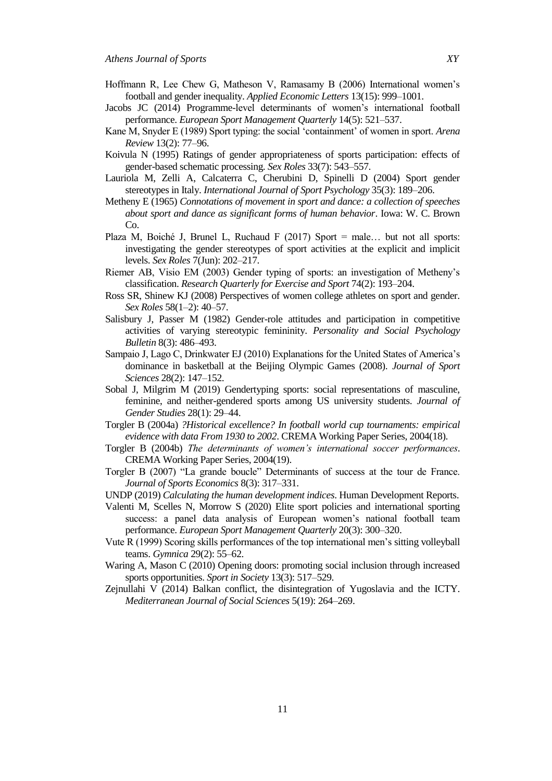- Hoffmann R, Lee Chew G, Matheson V, Ramasamy B (2006) International women's football and gender inequality. *Applied Economic Letters* 13(15): 999–1001.
- Jacobs JC (2014) Programme-level determinants of women's international football performance. *European Sport Management Quarterly* 14(5): 521–537.
- Kane M, Snyder E (1989) Sport typing: the social ‗containment' of women in sport. *Arena Review* 13(2): 77–96.
- Koivula N (1995) Ratings of gender appropriateness of sports participation: effects of gender-based schematic processing. *Sex Roles* 33(7): 543–557.
- Lauriola M, Zelli A, Calcaterra C, Cherubini D, Spinelli D (2004) Sport gender stereotypes in Italy. *International Journal of Sport Psychology* 35(3): 189–206.
- Metheny E (1965) *Connotations of movement in sport and dance: a collection of speeches about sport and dance as significant forms of human behavior*. Iowa: W. C. Brown Co.
- Plaza M, Boiché J, Brunel L, Ruchaud F  $(2017)$  Sport = male... but not all sports: investigating the gender stereotypes of sport activities at the explicit and implicit levels. *Sex Roles* 7(Jun): 202–217.
- Riemer AB, Visio EM (2003) Gender typing of sports: an investigation of Metheny's classification. *Research Quarterly for Exercise and Sport* 74(2): 193–204.
- Ross SR, Shinew KJ (2008) Perspectives of women college athletes on sport and gender. *Sex Roles* 58(1–2): 40–57.
- Salisbury J, Passer M (1982) Gender-role attitudes and participation in competitive activities of varying stereotypic femininity. *Personality and Social Psychology Bulletin* 8(3): 486*–*493.
- Sampaio J, Lago C, Drinkwater EJ (2010) Explanations for the United States of America's dominance in basketball at the Beijing Olympic Games (2008). *Journal of Sport Sciences* 28(2): 147–152.
- Sobal J, Milgrim M (2019) Gendertyping sports: social representations of masculine, feminine, and neither-gendered sports among US university students. *Journal of Gender Studies* 28(1): 29–44.
- Torgler B (2004a) *?Historical excellence? In football world cup tournaments: empirical evidence with data From 1930 to 2002*. CREMA Working Paper Series, 2004(18).
- Torgler B (2004b) *The determinants of women's international soccer performances*. CREMA Working Paper Series, 2004(19).
- Torgler B (2007) "La grande boucle" Determinants of success at the tour de France. *Journal of Sports Economics* 8(3): 317–331.
- UNDP (2019) *Calculating the human development indices*. Human Development Reports.
- Valenti M, Scelles N, Morrow S (2020) Elite sport policies and international sporting success: a panel data analysis of European women's national football team performance. *European Sport Management Quarterly* 20(3): 300–320.
- Vute R (1999) Scoring skills performances of the top international men's sitting volleyball teams. *Gymnica* 29(2): 55–62.
- Waring A, Mason C (2010) Opening doors: promoting social inclusion through increased sports opportunities. *Sport in Society* 13(3): 517–529.
- Zejnullahi V (2014) Balkan conflict, the disintegration of Yugoslavia and the ICTY. *Mediterranean Journal of Social Sciences* 5(19): 264–269.